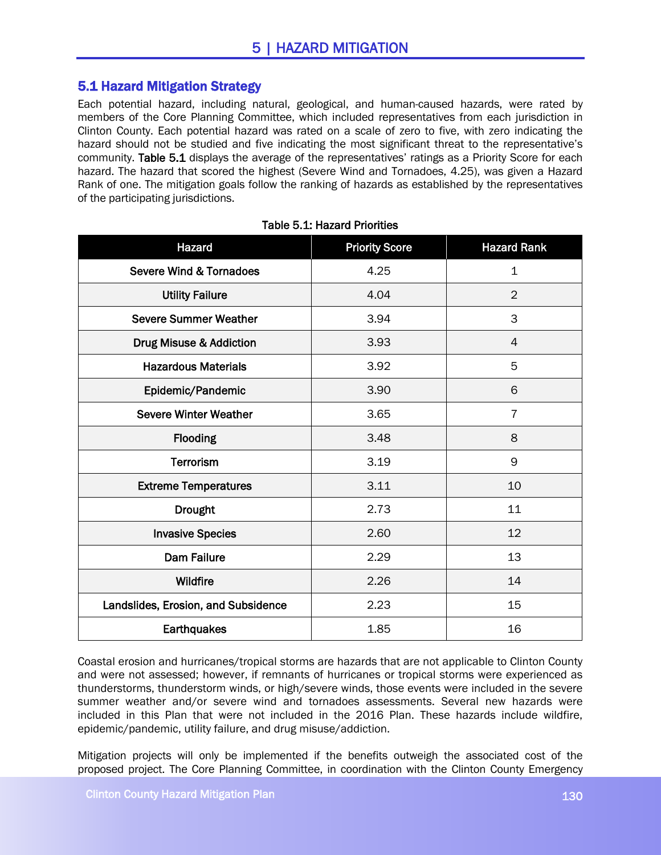## 5.1 Hazard Mitigation Strategy

Each potential hazard, including natural, geological, and human-caused hazards, were rated by members of the Core Planning Committee, which included representatives from each jurisdiction in Clinton County. Each potential hazard was rated on a scale of zero to five, with zero indicating the hazard should not be studied and five indicating the most significant threat to the representative's community. Table 5.1 displays the average of the representatives' ratings as a Priority Score for each hazard. The hazard that scored the highest (Severe Wind and Tornadoes, 4.25), was given a Hazard Rank of one. The mitigation goals follow the ranking of hazards as established by the representatives of the participating jurisdictions.

| Hazard                              | <b>Priority Score</b> | <b>Hazard Rank</b> |
|-------------------------------------|-----------------------|--------------------|
| <b>Severe Wind &amp; Tornadoes</b>  | 4.25                  | $\mathbf 1$        |
| <b>Utility Failure</b>              | 4.04                  | $\overline{2}$     |
| <b>Severe Summer Weather</b>        | 3.94                  | 3                  |
| Drug Misuse & Addiction             | 3.93                  | 4                  |
| <b>Hazardous Materials</b>          | 3.92                  | 5                  |
| Epidemic/Pandemic                   | 3.90                  | 6                  |
| <b>Severe Winter Weather</b>        | 3.65                  | $\overline{7}$     |
| Flooding                            | 3.48                  | 8                  |
| <b>Terrorism</b>                    | 3.19                  | 9                  |
| <b>Extreme Temperatures</b>         | 3.11                  | 10                 |
| <b>Drought</b>                      | 2.73                  | 11                 |
| <b>Invasive Species</b>             | 2.60                  | 12                 |
| <b>Dam Failure</b>                  | 2.29                  | 13                 |
| Wildfire                            | 2.26                  | 14                 |
| Landslides, Erosion, and Subsidence | 2.23                  | 15                 |
| Earthquakes                         | 1.85                  | 16                 |

|  |  |  | <b>Table 5.1: Hazard Priorities</b> |
|--|--|--|-------------------------------------|
|--|--|--|-------------------------------------|

Coastal erosion and hurricanes/tropical storms are hazards that are not applicable to Clinton County and were not assessed; however, if remnants of hurricanes or tropical storms were experienced as thunderstorms, thunderstorm winds, or high/severe winds, those events were included in the severe summer weather and/or severe wind and tornadoes assessments. Several new hazards were included in this Plan that were not included in the 2016 Plan. These hazards include wildfire, epidemic/pandemic, utility failure, and drug misuse/addiction.

Mitigation projects will only be implemented if the benefits outweigh the associated cost of the proposed project. The Core Planning Committee, in coordination with the Clinton County Emergency